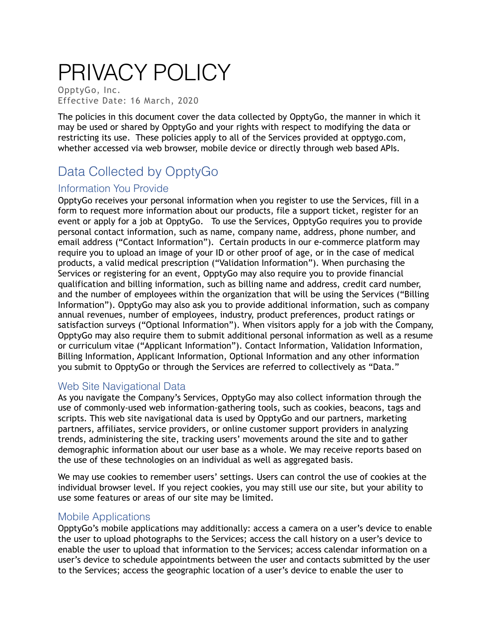# PRIVACY POLICY

OpptyGo, Inc. Effective Date: 16 March, 2020

The policies in this document cover the data collected by OpptyGo, the manner in which it may be used or shared by OpptyGo and your rights with respect to modifying the data or restricting its use. These policies apply to all of the Services provided at opptygo.com, whether accessed via web browser, mobile device or directly through web based APIs.

# Data Collected by OpptyGo

#### Information You Provide

OpptyGo receives your personal information when you register to use the Services, fill in a form to request more information about our products, file a support ticket, register for an event or apply for a job at OpptyGo. To use the Services, OpptyGo requires you to provide personal contact information, such as name, company name, address, phone number, and email address ("Contact Information"). Certain products in our e-commerce platform may require you to upload an image of your ID or other proof of age, or in the case of medical products, a valid medical prescription ("Validation Information"). When purchasing the Services or registering for an event, OpptyGo may also require you to provide financial qualification and billing information, such as billing name and address, credit card number, and the number of employees within the organization that will be using the Services ("Billing Information"). OpptyGo may also ask you to provide additional information, such as company annual revenues, number of employees, industry, product preferences, product ratings or satisfaction surveys ("Optional Information"). When visitors apply for a job with the Company, OpptyGo may also require them to submit additional personal information as well as a resume or curriculum vitae ("Applicant Information"). Contact Information, Validation Information, Billing Information, Applicant Information, Optional Information and any other information you submit to OpptyGo or through the Services are referred to collectively as "Data."

#### Web Site Navigational Data

As you navigate the Company's Services, OpptyGo may also collect information through the use of commonly-used web information-gathering tools, such as cookies, beacons, tags and scripts. This web site navigational data is used by OpptyGo and our partners, marketing partners, affiliates, service providers, or online customer support providers in analyzing trends, administering the site, tracking users' movements around the site and to gather demographic information about our user base as a whole. We may receive reports based on the use of these technologies on an individual as well as aggregated basis.

We may use cookies to remember users' settings. Users can control the use of cookies at the individual browser level. If you reject cookies, you may still use our site, but your ability to use some features or areas of our site may be limited.

#### Mobile Applications

OpptyGo's mobile applications may additionally: access a camera on a user's device to enable the user to upload photographs to the Services; access the call history on a user's device to enable the user to upload that information to the Services; access calendar information on a user's device to schedule appointments between the user and contacts submitted by the user to the Services; access the geographic location of a user's device to enable the user to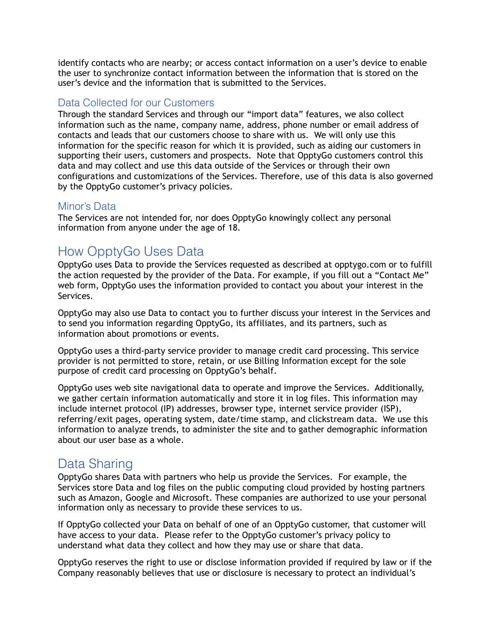identify contacts who are nearby; or access contact information on a user's device to enable the user to synchronize contact information between the information that is stored on the user's device and the information that is submitted to the Services.

#### Data Collected for our Customers

Through the standard Services and through our "import data" features, we also collect information such as the name, company name, address, phone number or email address of contacts and leads that our customers choose to share with us. We will only use this information for the specific reason for which it is provided, such as aiding our customers in supporting their users, customers and prospects. Note that OpptyGo customers control this data and may collect and use this data outside of the Services or through their own configurations and customizations of the Services. Therefore, use of this data is also governed by the OpptyGo customer's privacy policies.

#### Minor's Data

The Services are not intended for, nor does OpptyGo knowingly collect any personal information from anyone under the age of 18.

## How OpptyGo Uses Data

OpptyGo uses Data to provide the Services requested as described at opptygo.com or to fulfill the action requested by the provider of the Data. For example, if you fill out a "Contact Me" web form, OpptyGo uses the information provided to contact you about your interest in the Services.

OpptyGo may also use Data to contact you to further discuss your interest in the Services and to send you information regarding OpptyGo, its affiliates, and its partners, such as information about promotions or events.

OpptyGo uses a third-party service provider to manage credit card processing. This service provider is not permitted to store, retain, or use Billing Information except for the sole purpose of credit card processing on OpptyGo's behalf.

OpptyGo uses web site navigational data to operate and improve the Services. Additionally, we gather certain information automatically and store it in log files. This information may include internet protocol (IP) addresses, browser type, internet service provider (ISP), referring/exit pages, operating system, date/time stamp, and clickstream data. We use this information to analyze trends, to administer the site and to gather demographic information about our user base as a whole.

## Data Sharing

OpptyGo shares Data with partners who help us provide the Services. For example, the Services store Data and log files on the public computing cloud provided by hosting partners such as Amazon, Google and Microsoft. These companies are authorized to use your personal information only as necessary to provide these services to us.

If OpptyGo collected your Data on behalf of one of an OpptyGo customer, that customer will have access to your data. Please refer to the OpptyGo customer's privacy policy to understand what data they collect and how they may use or share that data.

OpptyGo reserves the right to use or disclose information provided if required by law or if the Company reasonably believes that use or disclosure is necessary to protect an individual's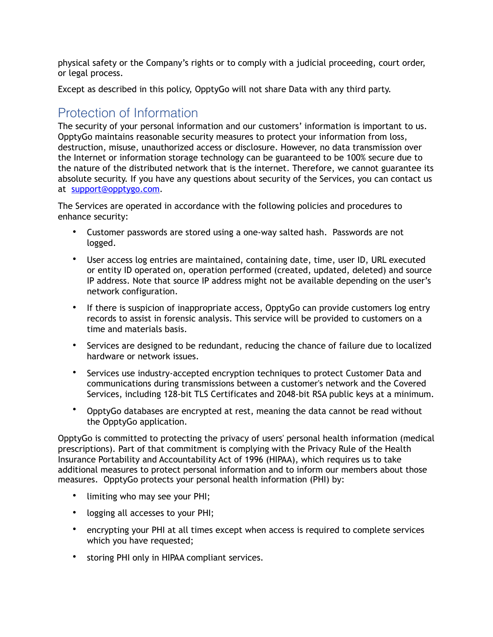physical safety or the Company's rights or to comply with a judicial proceeding, court order, or legal process.

Except as described in this policy, OpptyGo will not share Data with any third party.

# Protection of Information

The security of your personal information and our customers' information is important to us. OpptyGo maintains reasonable security measures to protect your information from loss, destruction, misuse, unauthorized access or disclosure. However, no data transmission over the Internet or information storage technology can be guaranteed to be 100% secure due to the nature of the distributed network that is the internet. Therefore, we cannot guarantee its absolute security. If you have any questions about security of the Services, you can contact us at [support@opptygo.com](mailto:support@opptygo.com).

The Services are operated in accordance with the following policies and procedures to enhance security:

- Customer passwords are stored using a one-way salted hash. Passwords are not logged.
- User access log entries are maintained, containing date, time, user ID, URL executed or entity ID operated on, operation performed (created, updated, deleted) and source IP address. Note that source IP address might not be available depending on the user's network configuration.
- If there is suspicion of inappropriate access, OpptyGo can provide customers log entry records to assist in forensic analysis. This service will be provided to customers on a time and materials basis.
- Services are designed to be redundant, reducing the chance of failure due to localized hardware or network issues.
- Services use industry-accepted encryption techniques to protect Customer Data and communications during transmissions between a customer's network and the Covered Services, including 128-bit TLS Certificates and 2048-bit RSA public keys at a minimum.
- OpptyGo databases are encrypted at rest, meaning the data cannot be read without the OpptyGo application.

OpptyGo is committed to protecting the privacy of users' personal health information (medical prescriptions). Part of that commitment is complying with the Privacy Rule of the Health Insurance Portability and Accountability Act of 1996 (HIPAA), which requires us to take additional measures to protect personal information and to inform our members about those measures. OpptyGo protects your personal health information (PHI) by:

- limiting who may see your PHI;
- logging all accesses to your PHI;
- encrypting your PHI at all times except when access is required to complete services which you have requested;
- storing PHI only in HIPAA compliant services.